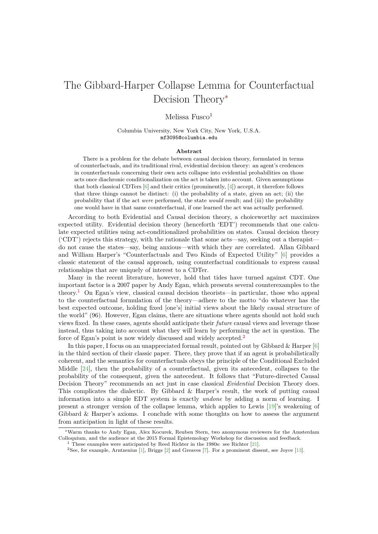# The Gibbard-Harper Collapse Lemma for Counterfactual Decision Theory*<sup>∗</sup>*

### Melissa  $Fusco<sup>1</sup>$

#### Columbia University, New York City, New York, U.S.A. mf3095@columbia.edu

#### **Abstract**

There is a problem for the debate between causal decision theory, formulated in terms of counterfactuals, and its traditional rival, evidential decision theory: an agent's credences in counterfactuals concerning their own acts collapse into evidential probabilities on those acts once diachronic conditionalization on the act is taken into account. Given assumptions that both classical CDTers  $[6]$  and their critics (prominently,  $[4]$ ) accept, it therefore follows that three things cannot be distinct: (i) the probability of a state, given an act; (ii) the probability that if the act *were* performed, the state *would* result; and (iii) the probability one would have in that same counterfactual, if one learned the act was actually performed.

According to both Evident[ia](#page-8-0)l and Causal decision theor[y,](#page-8-1) a choiceworthy act maximizes expected utility. Evidential decision theory (henceforth 'EDT') recommends that one calculate expected utilities using act-conditionalized probabilities on states. Causal decision theory ('CDT') rejects this strategy, with the rationale that some acts—say, seeking out a therapist do not cause the states—say, being anxious—with which they are correlated. Allan Gibbard and William Harper's "Counterfactuals and Two Kinds of Expected Utility" [6] provides a classic statement of the causal approach, using counterfactual conditionals to express causal relationships that are uniquely of interest to a CDTer.

Many in the recent literature, however, hold that tides have turned against CDT. One important factor is a 2007 paper by Andy Egan, which presents several counterex[am](#page-8-0)ples to the theory.<sup>1</sup> On Egan's view, classical causal decision theorists—in particular, those who appeal to the counterfactual formulation of the theory—adhere to the motto "do whatever has the best expected outcome, holding fixed [one's] initial views about the likely causal structure of the world" (96). However, Egan claims, there are situations where agents should not hold such views [fix](#page-0-0)ed. In these cases, agents should anticipate their *future* causal views and leverage those instead, thus taking into account what they will learn by performing the act in question. The force of Egan's point is now widely discussed and widely accepted.<sup>2</sup>

In this paper, I focus on an unappreciated formal result, pointed out by Gibbard  $\&$  Harper [6] in the third section of their classic paper. There, they prove that if an agent is probabilistically coherent, and the semantics for counterfactuals obeys the principle of the Conditional Excluded Middle [24], then the probability of a counterfactual, given its [an](#page-0-1)tecedent, collapses to the probability of the consequent, given the antecedent. It follows that "Future-directed Cau[sa](#page-8-0)l Decision Theory" recommends an act just in case classical *Evidential* Decision Theory does. This complicates the dialectic. By Gibbard & Harper's result, the work of putting causal informat[ion](#page-9-0) into a simple EDT system is exactly *undone* by adding a norm of learning. I present a stronger version of the collapse lemma, which applies to Lewis [19]'s weakening of Gibbard & Harper's axioms. I conclude with some thoughts on how to assess the argument from anticipation in light of these results.

*<sup>∗</sup>*Warm thanks to Andy Egan, Alex Kocurek, Reuben Stern, two anonymous reviewers for the Amsterdam Colloquium, and the audience at the 2015 Formal Epistemology Workshop for discussion [an](#page-9-1)d feedback.

<sup>1</sup> These examples were anticipated by Reed Richter in the 1980s: see Richter [21].

<span id="page-0-1"></span><span id="page-0-0"></span><sup>2</sup>See, for example, Arntzenius [1], Briggs [2] and Greaves [7]. For a prominent dissent, see Joyce [13].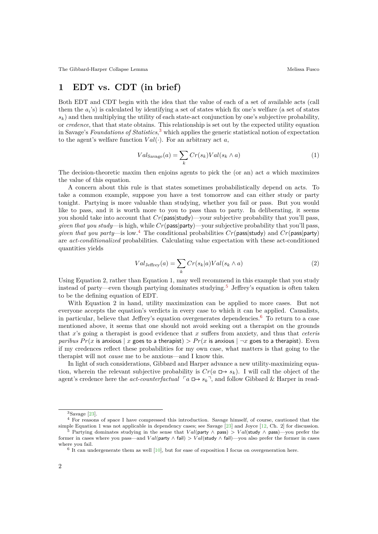## **1 EDT vs. CDT (in brief)**

Both EDT and CDT begin with the idea that the value of each of a set of available acts (call them the  $a_i$ 's) is calculated by identifying a set of states which fix one's welfare (a set of states  $s_k$ ) and then multiplying the utility of each state-act conjunction by one's subjective probability, or *credence*, that that state obtains. This relationship is set out by the expected utility equation in Savage's *Foundations of Statistics*, <sup>3</sup> which applies the generic statistical notion of expectation to the agent's welfare function  $Val(\cdot)$ . For an arbitrary act *a*,

$$
Val_{\text{Savage}}(a) = \sum_{k} Cr(s_k)Val(s_k \wedge a)
$$
\n(1)

The decision-theoretic maxim then enjoins agents to pick the (or an) act *a* which maximizes the value of this equation.

A concern about this rule is that states sometimes probabilistically depend on acts. To take a common example, suppose you have a test tomorrow and can either study or party tonight. Partying is more valuable than studying, whether you fail or pass. But you would like to pass, and it is worth more to you to pass than to party. In deliberating, it seems you should take into account that *Cr*(pass|study)—your subjective probability that you'll pass, *given that you study*—is high, while *Cr*(pass|party)—your subjective probability that you'll pass, *given that you party*—is low.<sup>4</sup> The conditional probabilities *Cr*(pass|study) and *Cr*(pass|party) are *act-conditionalized* probabilities. Calculating value expectation with these act-conditioned quantities yields

$$
Val_{\text{Jeffrey}}(a) = \sum_{k} Cr(s_k|a)Val(s_k \wedge a)
$$
\n(2)

Using Equation 2, rather than Equation 1, may well recommend in this example that you study instead of party—even though partying dominates studying.<sup>5</sup> Jeffrey's equation is often taken to be the defining equation of EDT.

With Equation 2 in hand, utility maximization can be applied to more cases. But not everyone accepts the equation's verdicts in every case to which it can be applied. Causalists, in particular, believe that Jeffrey's equation overgenerates [de](#page-1-2)pendencies.<sup>6</sup> To return to a case mentioned above, it seems that one should not avoid seeking out a therapist on the grounds that *x*'s going a therapist is good evidence that *x* suffers from anxiety, and thus that *ceteris paribus*  $Pr(x$  is anxious | *x* goes to a therapist)  $> Pr(x)$  is anxious  $\vert \neg x$  goes to a therapist). Even if my credences reflect these probabilities for my own case, what matte[rs](#page-1-3) is that going to the therapist will not *cause* me to be anxious—and I know this.

In light of such considerations, Gibbard and Harper advance a new utility-maximizing equation, wherein the relevant subjective probability is  $Cr(a \rightharpoonup s_k)$ . I will call the object of the agent's credence here the *act-counterfactual*  $\lceil a \rceil$   $\rightarrow$   $s_k$ <sup> $\lceil$ </sup>, and follow Gibbard & Harper in read-

 ${}^{3}$ Savage [23].

<sup>&</sup>lt;sup>4</sup> For reasons of space I have compressed this introduction. Savage himself, of course, cautioned that the simple Equation 1 was not applicable in dependency cases; see Savage [23] and Joyce [12, Ch. 2] for discussion. <sup>5</sup> Partying dominates studying in the sense that *V al*(party *∧* pass) *> V al*(study *∧* pass)—you prefer the

former in cases where you pass—and  $Val(party \wedge fail) > Val(staty \wedge fail)$ —you also prefer the former in cases where you fa[il.](#page-9-2)

<span id="page-1-3"></span><span id="page-1-2"></span><span id="page-1-1"></span><span id="page-1-0"></span> $6$  It can undergenerate them as well  $[10]$ , but for ease of exposition I focus on overgeneration here.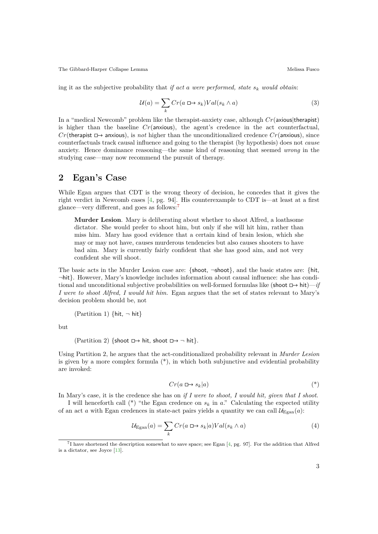ing it as the subjective probability that *if act a were performed, state s<sup>k</sup> would obtain*:

$$
\mathcal{U}(a) = \sum_{k} Cr(a \sqcup s_k)Val(s_k \wedge a)
$$
\n(3)

In a "medical Newcomb" problem like the therapist-anxiety case, although *Cr*(axious|therapist) is higher than the baseline  $Cr$ (anxious), the agent's credence in the act counterfactual,  $Cr$ (therapist  $\Box$ ) anxious), is *not* higher than the unconditionalized credence  $Cr$ (anxious), since counterfactuals track causal influence and going to the therapist (by hypothesis) does not *cause* anxiety. Hence dominance reasoning—the same kind of reasoning that seemed *wrong* in the studying case—may now recommend the pursuit of therapy.

### **2 Egan's Case**

While Egan argues that CDT is the wrong theory of decision, he concedes that it gives the right verdict in Newcomb cases  $[4, pg. 94]$ . His counterexample to CDT is—at least at a first glance—very different, and goes as follows:<sup>7</sup>

**Murder Lesion**. Mary is deliberating about whether to shoot Alfred, a loathsome dictator. She would prefer [t](#page-8-1)o shoot him, but only if she will hit him, rather than miss him. Mary has good evidence [th](#page-2-0)at a certain kind of brain lesion, which she may or may not have, causes murderous tendencies but also causes shooters to have bad aim. Mary is currently fairly confident that she has good aim, and not very confident she will shoot.

The basic acts in the Murder Lesion case are: *{*shoot, *¬*shoot*}*, and the basic states are: *{*hit, *¬*hit*}*. However, Mary's knowledge includes information about causal influence: she has conditional and unconditional subjective probabilities on well-formed formulas like (shoot  $\Box \rightarrow \text{hit}) - if$ *I were to shoot Alfred, I would hit him.* Egan argues that the set of states relevant to Mary's decision problem should be, not

(Partition 1) *{*hit, *¬* hit*}*

but

(Partition 2) {shoot  $\Box$  hit, shoot  $\Box$   $\rightarrow$   $\Box$  hit}.

Using Partition 2, he argues that the act-conditionalized probability relevant in *Murder Lesion* is given by a more complex formula  $(*)$ , in which both subjunctive and evidential probability are invoked:

$$
Cr(a \sqcup s_k|a) \tag{*}
$$

In Mary's case, it is the credence she has on *if I were to shoot, I would hit, given that I shoot*.

I will henceforth call  $(*)$  "the Egan credence on  $s_k$  in *a*." Calculating the expected utility of an act *a* with Egan credences in state-act pairs yields a quantity we can call  $\mathcal{U}_{\text{Egan}}(a)$ :

$$
\mathcal{U}_{\text{Egan}}(a) = \sum_{k} Cr(a \square \rightarrow s_k | a) Val(s_k \land a)
$$
\n<sup>(4)</sup>

<span id="page-2-0"></span><sup>&</sup>lt;sup>7</sup>I have shortened the description somewhat to save space; see Egan [4, pg. 97]. For the addition that Alfred is a dictator, see Joyce [13].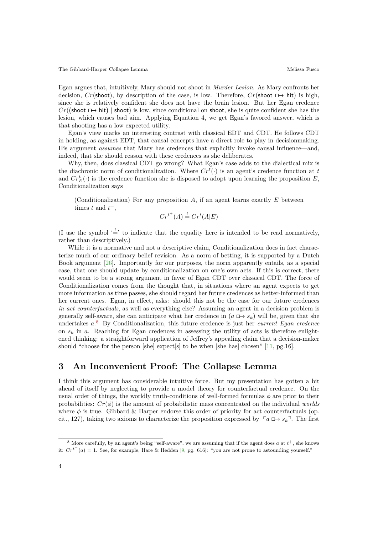Egan argues that, intuitively, Mary should not shoot in *Murder Lesion*. As Mary confronts her decision,  $Cr(\text{shoot})$ , by description of the case, is low. Therefore,  $Cr(\text{shoot }\Box \rightarrow \text{hit})$  is high, since she is relatively confident she does not have the brain lesion. But her Egan credence  $Cr(\text{smooth} \rightarrow \text{hit})$  | shoot) is low, since conditional on shoot, she is quite confident she has the lesion, which causes bad aim. Applying Equation 4, we get Egan's favored answer, which is that shooting has a low expected utility.

Egan's view marks an interesting contrast with classical EDT and CDT. He follows CDT in holding, as against EDT, that causal concepts have a direct role to play in decisionmaking. His argument *assumes* that Mary has credences that explicitly invoke causal influence—and, indeed, that she should reason with these credences as she deliberates.

Why, then, does classical CDT go wrong? What Egan's case adds to the dialectical mix is the diachronic norm of conditionalization. Where  $Cr<sup>t</sup>(·)$  is an agent's credence function at *t* and  $Cr_E^t(·)$  is the credence function she is disposed to adopt upon learning the proposition  $E$ , Conditionalization says

(Conditionalization) For any proposition *A*, if an agent learns exactly *E* between times  $t$  and  $t^+$ ,

$$
Cr^{t^+}(A) \stackrel{!}{=} Cr^t(A|E)
$$

(I use the symbol  $\frac{1}{n-1}$  to indicate that the equality here is intended to be read normatively, rather than descriptively.)

While it is a normative and not a descriptive claim, Conditionalization does in fact characterize much of our ordinary belief revision. As a norm of betting, it is supported by a Dutch Book argument [26]. Importantly for our purposes, the norm apparently entails, as a special case, that one should update by conditionalization on one's own acts. If this is correct, there would seem to be a strong argument in favor of Egan CDT over classical CDT. The force of Conditionalization comes from the thought that, in situations where an agent expects to get more informatio[n as](#page-9-3) time passes, she should regard her future credences as better-informed than her current ones. Egan, in effect, asks: should this not be the case for our future credences *in act counterfactuals*, as well as everything else? Assuming an agent in a decision problem is generally self-aware, she can anticipate what her credence in  $(a \rightharpoonup s_k)$  will be, given that she undertakes *a*. <sup>8</sup> By Conditionalization, this future credence is just her *current Egan credence* on  $s_k$  in a. Reaching for Egan credences in assessing the utility of acts is therefore enlightened thinking: a straightforward application of Jeffrey's appealing claim that a decision-maker should "choose for the person [she] expect[s] to be when [she has] chosen" [11, pg.16].

### **3 An Inconvenient Proof: The Collapse Lemma**

I think this argument has considerable intuitive force. But my presentati[on](#page-8-2) has gotten a bit ahead of itself by neglecting to provide a model theory for counterfactual credence. On the usual order of things, the worldly truth-conditions of well-formed formulas  $\phi$  are prior to their probabilities:  $Cr(\phi)$  is the amount of probabilistic mass concentrated on the individual *worlds* where  $\phi$  is true. Gibbard & Harper endorse this order of priority for act counterfactuals (op. cit., 127), taking two axioms to characterize the proposition expressed by  $\lceil a \rceil$   $\rightarrow$   $s_k$ <sup> $\lceil$ </sup>. The first

 $8$  More carefully, by an agent's being "self-aware", we are assuming that if the agent does  $a$  at  $t^+$ , she knows it:  $Cr^{t+}(a) = 1$ . See, for example, Hare & Hedden [9, pg. 616]: "you are not prone to astounding yourself."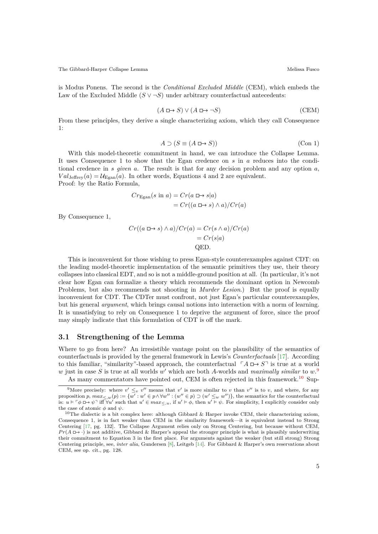is Modus Ponens. The second is the *Conditional Excluded Middle* (CEM), which embeds the Law of the Excluded Middle  $(S \vee \neg S)$  under arbitrary counterfactual antecedents:

$$
(A \sqcup \rightarrow S) \lor (A \sqcup \rightarrow \neg S) \tag{CEM}
$$

From these principles, they derive a single characterizing axiom, which they call Consequence 1:

$$
A \supset (S \equiv (A \sqcup B)) \tag{Con 1}
$$

With this model-theoretic commitment in hand, we can introduce the Collapse Lemma. It uses Consequence 1 to show that the Egan credence on *s* in *a* reduces into the conditional credence in *s given a*. The result is that for any decision problem and any option *a*,  $Val_{\text{Jeffrey}}(a) = \mathcal{U}_{\text{Egan}}(a)$ . In other words, Equations 4 and 2 are equivalent. Proof: by the Ratio Formula,

$$
Cr_{\text{Egan}}(s \text{ in } a) = Cr(a \square \rightarrow s|a)
$$

$$
= Cr((a \square \rightarrow s) \land a)/Cr(a)
$$

By Consequence 1,

$$
Cr((a \Box \rightarrow s) \land a)/Cr(a) = Cr(s \land a)/Cr(a)
$$

$$
= Cr(s|a)
$$
QED.

This is inconvenient for those wishing to press Egan-style counterexamples against CDT: on the leading model-theoretic implementation of the semantic primitives they use, their theory collapses into classical EDT, and so is not a middle-ground position at all. (In particular, it's not clear how Egan can formalize a theory which recommends the dominant option in Newcomb Problems, but also recommends not shooting in *Murder Lesion*.) But the proof is equally inconvenient for CDT. The CDTer must confront, not just Egan's particular counterexamples, but his general *argument*, which brings causal notions into interaction with a norm of learning. It is unsatisfying to rely on Consequence 1 to deprive the argument of force, since the proof may simply indicate that this formulation of CDT is off the mark.

#### **3.1 Strengthening of the Lemma**

Where to go from here? An irresistible vantage point on the plausibility of the semantics of counterfactuals is provided by the general framework in Lewis's *Counterfactuals* [17]. According to this familiar, "similarity"-based approach, the counterfactual  $\ulcorner A \sqcup \rightarrow S \urcorner$  is true at a world *w* just in case *S* is true at all worlds *w ′* which are both *A*-worlds and *maximally similar* to *w*. 9 As many commentators have pointed out, CEM is often rejected in this framework.<sup>10</sup> Sup-

<sup>&</sup>lt;sup>9</sup>More precisely: where  $v' \leq_v v''$  means that  $v'$  is more similar to *v* than  $v''$  is to *v*, a[nd w](#page-8-3)here, for any proposition p,  $max_{\leq w}(p) := \{w' : w' \in p \wedge \forall w'' : (w'' \in p) \supset (w' \leq w w'')\}$ , the semantics for the counterfactual is:  $u \models \ulcorner \phi \Box \rightarrow \psi \urcorner$  iff  $\forall u'$  such that  $u' \in max_{\leq u}$ , if  $u' \models \phi$ , then  $u' \models \psi$ . For simplicit[y](#page-4-0), I explicitly consider only the case of atomic  $\phi$  and  $\psi$ .

<span id="page-4-1"></span><span id="page-4-0"></span><sup>&</sup>lt;sup>10</sup>The dialectic is a bit complex here: although Gibbard & Harper invoke CEM, their characterizi[ng](#page-4-1) axiom, Consequence 1, is in fact weaker than CEM in the similarity framework—it is equivalent instead to Strong Centering [17, pg. 132]. The Collapse Argument relies only on Strong Centering, but because without CEM,  $Pr(A \rightharpoonup \cdot)$  is not additive, Gibbard & Harper's appeal the stronger principle is what is plausibly underwriting their commitment to Equation 3 in the first place. For arguments against the weaker (but still strong) Strong Centering principle, see, *inter alia*, Gundersen [8], Leitgeb [14]. For Gibbard & Harper's own reservations about CEM, see op. cit., pg. 128.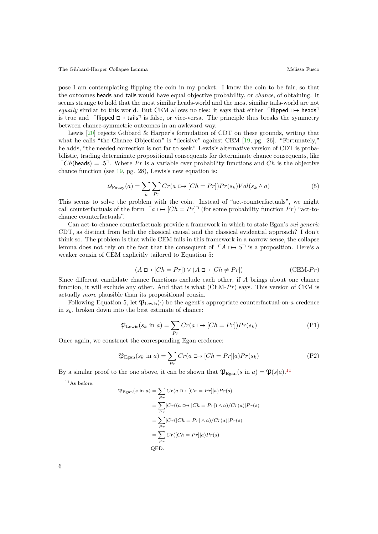pose I am contemplating flipping the coin in my pocket. I know the coin to be fair, so that the outcomes heads and tails would have equal objective probability, or *chance*, of obtaining. It seems strange to hold that the most similar heads-world and the most similar tails-world are not *equally* similar to this world. But CEM allows no ties: it says that either  $\lceil \text{flipped} \rceil \rightarrow \text{heads} \rceil$ is true and  $\Box$  is fals $\Box$  is false, or vice-versa. The principle thus breaks the symmetry between chance-symmetric outcomes in an awkward way.

Lewis [20] rejects Gibbard & Harper's formulation of CDT on these grounds, writing that what he calls "the Chance Objection" is "decisive" against CEM [19, pg. 26]. "Fortunately," he adds, "the needed correction is not far to seek." Lewis's alternative version of CDT is probabilistic, trading determinate propositional consequents for determinate chance consequents, like  $\lceil Ch(\text{heads}) \rceil = .5^{\text{T}}$  $\lceil Ch(\text{heads}) \rceil = .5^{\text{T}}$  $\lceil Ch(\text{heads}) \rceil = .5^{\text{T}}$ . Where Pr is a variable over probability functions and Ch is the objective chance function (see 19, pg. 28), Lewis's new equation is:

$$
\mathcal{U}_{\text{Fuzzy}}(a) = \sum_{k} \sum_{Pr} Cr(a \Box \rightarrow [Ch = Pr]) Pr(s_k) Val(s_k \land a)
$$
\n<sup>(5)</sup>

This seems to solve [th](#page-9-1)e problem with the coin. Instead of "act-counterfactuals", we might call counterfactuals of the form  $\lceil a \rceil$   $\Box \rightarrow \lceil Ch = Pr \rceil$  (for some probability function *Pr*) "act-tochance counterfactuals".

Can act-to-chance counterfactuals provide a framework in which to state Egan's *sui generis* CDT, as distinct from both the classical causal and the classical evidential approach? I don't think so. The problem is that while CEM fails in this framework in a narrow sense, the collapse lemma does not rely on the fact that the consequent of  $\ulcorner A \sqcup \rightarrow S \urcorner$  is a proposition. Here's a weaker cousin of CEM explicitly tailored to Equation 5:

$$
(A \sqcup \rightarrow [Ch = Pr]) \lor (A \sqcup \rightarrow [Ch \neq Pr])
$$
 (CEM-Pr)

Since different candidate chance functions exclude each other, if *A* brings about one chance function, it will exclude any other. And that is what (CEM-*Pr*) says. This version of CEM is actually *more* plausible than its propositional cousin.

Following Equation 5, let  $\mathfrak{P}_{\text{Lewis}}(\cdot)$  be the agent's appropriate counterfactual-on-*a* credence in  $s_k$ , broken down into the best estimate of chance:

$$
\mathfrak{P}_{\text{Lewis}}(s_k \text{ in } a) = \sum_{Pr} Cr(a \square \rightarrow [Ch = Pr]) Pr(s_k)
$$
\n<sup>(P1)</sup>

Once again, we construct the corresponding Egan credence:

$$
\mathfrak{P}_{\text{Egan}}(s_k \text{ in } a) = \sum_{Pr} Cr(a \square \rightarrow [Ch = Pr]|a)Pr(s_k)
$$
\n<sup>(P2)</sup>

By a similar proof to the one above, it can be shown that  $\mathfrak{P}_{\text{Egan}}(s \text{ in } a) = \mathfrak{P}(s|a)$ .<sup>11</sup>

 $11$ As before:

$$
\mathfrak{P}_{\text{Egan}}(s \text{ in } a) = \sum_{Pr} Cr(a \oplus [Ch = Pr]|a)Pr(s)
$$
  
= 
$$
\sum_{Pr} [Cr((a \oplus [Ch = Pr]) \wedge a)/Cr(a)]Pr(s)
$$
  
= 
$$
\sum_{Pr} [Cr([Ch = Pr] \wedge a)/Cr(a)]Pr(s)
$$
  
= 
$$
\sum_{Pr} Cr([Ch = Pr]|a)Pr(s)
$$
  
QED.

6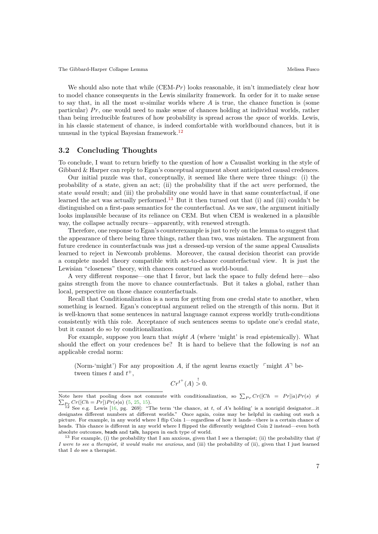The Gibbard-Harper Collapse Lemma  $\blacksquare$  Melissa Fusco Melissa Fusco Melissa Fusco Melissa Fusco Melissa Fusco Melissa Fusco Melissa Fusco Melissa Fusco Melissa Fusco Melissa Fusco Melissa Fusco Melissa Fusco Melissa Fusco

We should also note that while (CEM-*Pr*) looks reasonable, it isn't immediately clear how to model chance consequents in the Lewis similarity framework. In order for it to make sense to say that, in all the most *w*-similar worlds where *A* is true, the chance function is (some particular) *Pr*, one would need to make sense of chances holding at individual worlds, rather than being irreducible features of how probability is spread across the *space* of worlds. Lewis, in his classic statement of chance, is indeed comfortable with worldbound chances, but it is unusual in the typical Bayesian framework.<sup>12</sup>

#### **3.2 Concluding Thoughts**

To conclude, I want to return briefly to the [qu](#page-6-0)estion of how a Causalist working in the style of Gibbard & Harper can reply to Egan's conceptual argument about anticipated causal credences.

Our initial puzzle was that, conceptually, it seemed like there were three things: (i) the probability of a state, given an act; (ii) the probability that if the act *were* performed, the state *would* result; and (iii) the probability one would have in that same counterfactual, if one learned the act was actually performed.<sup>13</sup> But it then turned out that (i) and (iii) couldn't be distinguished on a first-pass semantics for the counterfactual. As we saw, the argument initially looks implausible because of its reliance on CEM. But when CEM is weakened in a plausible way, the collapse actually recurs—apparently, with renewed strength.

Therefore, one response to Egan's co[unt](#page-6-1)erexample is just to rely on the lemma to suggest that the appearance of there being three things, rather than two, was mistaken. The argument from future credence in counterfactuals was just a dressed-up version of the same appeal Causalists learned to reject in Newcomb problems. Moreover, the causal decision theorist can provide a complete model theory compatible with act-to-chance counterfactual view. It is just the Lewisian "closeness" theory, with chances construed as world-bound.

A very different response—one that I favor, but lack the space to fully defend here—also gains strength from the move to chance counterfactuals. But it takes a global, rather than local, perspective on those chance counterfactuals.

Recall that Conditionalization is a norm for getting from one credal state to another, when something is learned. Egan's conceptual argument relied on the strength of this norm. But it is well-known that some sentences in natural language cannot express worldly truth-conditions consistently with this role. Acceptance of such sentences seems to update one's credal state, but it cannot do so by conditionalization.

For example, suppose you learn that *might A* (where 'might' is read epistemically). What should the effect on your credences be? It is hard to believe that the following is *not* an applicable credal norm:

(Norm-'might') For any proposition A, if the agent learns exactly  $\lceil \text{might } A \rceil$  between times  $t$  and  $t^+$ ,

$$
Cr^{t^+}(A) \overset{!}{>} 0.
$$

Note here that pooling does not commute with conditionalization, so  $\sum_{P_r} Cr([Ch] = Pr] |a| Pr(s) \neq$ Note here that pooling does not commute with conditionalization, so  $\sum_{P_r} Cr([Ch = Pr]|a)Pr(s) \neq \sum_{P_r} Cr([Ch = Pr])Pr(s|a)$  (5, 25, 15).<br><sup>12</sup> See e.g. Lewis [16, pg. 269]: "The term 'the chance, at t, of A's holding' is a nonrigid design

designates different numbers at different worlds." Once again, coins may be helpful in cashing out such a picture. For example, in any world where I flip Coin 1—regardless of how it lands—there is a certain chance of heads. This chance is different in any world where I flipped the differently weighted Coin 2 instead—even both absolute outcomes, heads and [t](#page-8-4)[ails](#page-9-5), [hap](#page-8-5)pen in each type of world.

<span id="page-6-1"></span><span id="page-6-0"></span><sup>13</sup> For example, (i) [the](#page-8-6) probability that I am anxious, given that I see a therapist; (ii) the probability that *if I were to see a therapist, it would make me anxious*, and (iii) the probability of (ii), given that I just learned that I *do* see a therapist.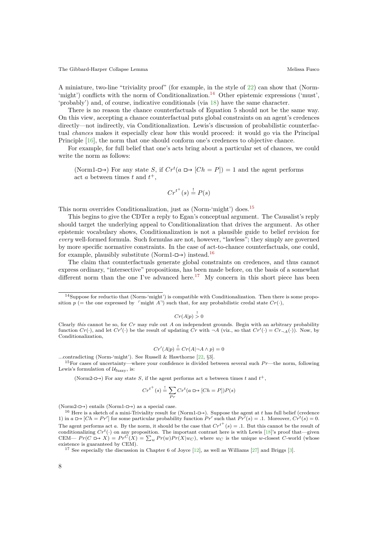A miniature, two-line "triviality proof" (for example, in the style of 22) can show that (Norm- 'might') conflicts with the norm of Conditionalization.<sup>14</sup> Other epistemic expressions ('must', 'probably') and, of course, indicative conditionals (via 18) have the same character.

There is no reason the chance counterfactuals of Equation 5 should not be the same way. On this view, accepting a chance counterfactual puts global constrai[nts](#page-9-6) on an agent's credences directly—not indirectly, via Conditionalization. Lewis['s](#page-7-0) discussion of probabilistic counterfactual *chances* makes it especially clear how this would [pr](#page-9-7)oceed: it would go via the Principal Principle [16], the norm that one should conform one's credences to objective chance.

For example, for full belief that one's acts bring about a particular set of chances, we could write the norm as follows:

(No[rm1](#page-8-6)- $\Box$ ) For any state *S*, if  $Cr^t(a \Box \rightarrow [Ch = P]) = 1$  and the agent performs act *a* between times *t* and  $t^+$ ,

$$
Cr^{t^+}(s) \stackrel{!}{=} P(s)
$$

This norm overrides Conditionalization, just as (Norm-'might') does.<sup>15</sup>

This begins to give the CDTer a reply to Egan's conceptual argument. The Causalist's reply should target the underlying appeal to Conditionalization that drives the argument. As other epistemic vocabulary shows, Conditionalization is not a plausible guide to belief revision for *every* well-formed formula. Such formulas are not, however, "lawless"; [th](#page-7-1)ey simply are governed by more specific normative constraints. In the case of act-to-chance counterfactuals, one could, for example, plausibly substitute (Norm1- $\Box$ ) instead.<sup>16</sup>

The claim that counterfactuals generate global constraints on credences, and thus cannot express ordinary, "intersective" propositions, has been made before, on the basis of a somewhat different norm than the one I've advanced here.<sup>17</sup> My concern in this short piece has been

 $Cr(A|p) \stackrel{!}{>} 0$ 

$$
Cr'(A|p) \stackrel{!}{=} Cr(A|\neg A \land p) = 0
$$

...contradicting (Norm-'might'). See Russell & Hawthorne [22, *§*3].

 $15$  For cases of uncertainty—where your confidence is divided between several such  $Pr$ —the norm, following Lewis's formulation of  $\mathcal{U}_{\text{fuzzy}}$ , is:

<span id="page-7-1"></span>(Norm2- $\Box$ ) For any state *S*, if the agent performs act *a* between times *t* and  $t^+$ ,

$$
Cr^{t^+}(s) \stackrel{!}{=} \sum_{Pr} Cr^t(a \oplus [Ch = P])P(s)
$$

(Norm2- $\Box$ ) entails (Norm1- $\Box$ ) as a special case.

<sup>16</sup> Here is a sketch of a mini-Triviality result for (Norm1- $\Box$ ). Suppose the agent at *t* has full belief (credence 1) in  $a \Box \rightarrow [Ch = Pr']$  for some particular probability function  $Pr'$  such that  $Pr'(s) = .1$ . Moreover,  $Cr^t(s) = 0$ . The agent performs act *a*. By the norm, it should be the case that  $Cr^{t^+}(s) = .1$ . But this cannot be the result of conditionalizing  $Cr<sup>t</sup>(·)$  on any proposition. The important contrast here is with Lewis [18]'s proof that—given CEM—  $Pr(C \rightrightarrows X) = Pr^C(X) = \sum_w Pr(w)Pr(X|w_C)$ , where  $w_C$  is the unique *w*-closest *C*-world (whose existence is guaranteed by CEM).

<span id="page-7-2"></span><sup>17</sup> See especially the discussion in Chapter 6 of Joyce  $[12]$ , as well as Williams  $[27]$  and Briggs  $[3]$ .

<sup>14</sup>Suppose for reductio that (Norm-'might') is compatible with Conditionalization. Then there is some proposition *p* (= the one expressed by  $\lceil \text{might } A \rceil$ ) such that, f[or a](#page-7-2)ny probabilistic credal state  $Cr(\cdot)$ ,

<span id="page-7-0"></span>Clearly *this* cannot be so, for *Cr* may rule out *A* on independent grounds. Begin with an arbitrary probability function  $Cr(\cdot)$ , and let  $Cr'(\cdot)$  be the result of updating  $Cr$  with  $\neg A$  (viz., so that  $Cr'(\cdot) = Cr_{\neg A}(\cdot)$ ). Now, by Conditionalization,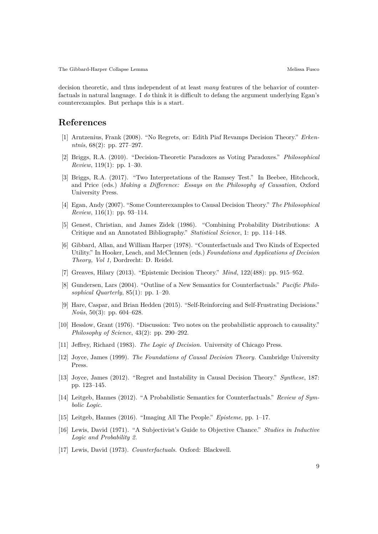decision theoretic, and thus independent of at least *many* features of the behavior of counterfactuals in natural language. I *do* think it is difficult to defang the argument underlying Egan's counterexamples. But perhaps this is a start.

### **References**

- [1] Arntzenius, Frank (2008). "No Regrets, or: Edith Piaf Revamps Decision Theory." *Erkenntnis*, 68(2): pp. 277–297.
- [2] Briggs, R.A. (2010). "Decision-Theoretic Paradoxes as Voting Paradoxes." *Philosophical Review*, 119(1): pp. 1–30.
- [3] Briggs, R.A. (2017). "Two Interpretations of the Ramsey Test." In Beebee, Hitchcock, and Price (eds.) *Making a Difference: Essays on the Philosophy of Causation*, Oxford University Press.
- <span id="page-8-1"></span>[4] Egan, Andy (2007). "Some Counterexamples to Causal Decision Theory." *The Philosophical Review*, 116(1): pp. 93–114.
- <span id="page-8-4"></span>[5] Genest, Christian, and James Zidek (1986). "Combining Probability Distributions: A Critique and an Annotated Bibliography." *Statistical Science*, 1: pp. 114–148.
- <span id="page-8-0"></span>[6] Gibbard, Allan, and William Harper (1978). "Counterfactuals and Two Kinds of Expected Utility." In Hooker, Leach, and McClennen (eds.) *Foundations and Applications of Decision Theory, Vol 1*, Dordrecht: D. Reidel.
- [7] Greaves, Hilary (2013). "Epistemic Decision Theory." *Mind*, 122(488): pp. 915–952.
- [8] Gundersen, Lars (2004). "Outline of a New Semantics for Counterfactuals." *Pacific Philosophical Quarterly*, 85(1): pp. 1–20.
- [9] Hare, Caspar, and Brian Hedden (2015). "Self-Reinforcing and Self-Frustrating Decisions." *Noûs*, 50(3): pp. 604–628.
- [10] Hesslow, Grant (1976). "Discussion: Two notes on the probabilistic approach to causality." *Philosophy of Science*, 43(2): pp. 290–292.
- <span id="page-8-2"></span>[11] Jeffrey, Richard (1983). *The Logic of Decision*. University of Chicago Press.
- [12] Joyce, James (1999). *The Foundations of Causal Decision Theory*. Cambridge University Press.
- [13] Joyce, James (2012). "Regret and Instability in Causal Decision Theory." *Synthese*, 187: pp. 123–145.
- [14] Leitgeb, Hannes (2012). "A Probabilistic Semantics for Counterfactuals." *Review of Symbolic Logic*.
- <span id="page-8-5"></span>[15] Leitgeb, Hannes (2016). "Imaging All The People." *Episteme*, pp. 1–17.
- <span id="page-8-6"></span>[16] Lewis, David (1971). "A Subjectivist's Guide to Objective Chance." *Studies in Inductive Logic and Probability 2*.
- <span id="page-8-3"></span>[17] Lewis, David (1973). *Counterfactuals*. Oxford: Blackwell.